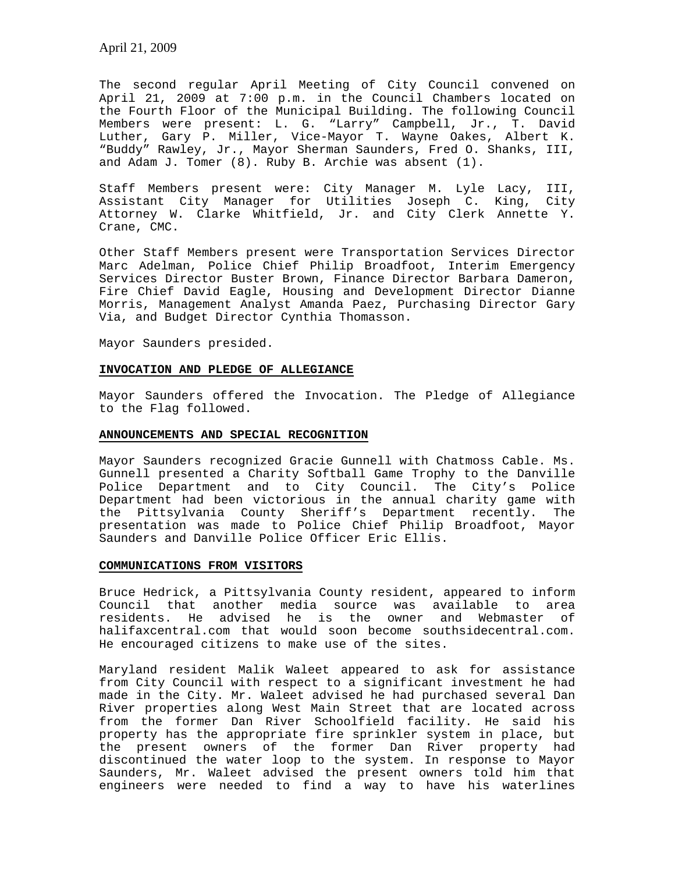The second regular April Meeting of City Council convened on April 21, 2009 at 7:00 p.m. in the Council Chambers located on the Fourth Floor of the Municipal Building. The following Council Members were present: L. G. "Larry" Campbell, Jr., T. David Luther, Gary P. Miller, Vice-Mayor T. Wayne Oakes, Albert K. "Buddy" Rawley, Jr., Mayor Sherman Saunders, Fred O. Shanks, III, and Adam J. Tomer (8). Ruby B. Archie was absent (1).

Staff Members present were: City Manager M. Lyle Lacy, III, Assistant City Manager for Utilities Joseph C. King, City Attorney W. Clarke Whitfield, Jr. and City Clerk Annette Y. Crane, CMC.

Other Staff Members present were Transportation Services Director Marc Adelman, Police Chief Philip Broadfoot, Interim Emergency Services Director Buster Brown, Finance Director Barbara Dameron, Fire Chief David Eagle, Housing and Development Director Dianne Morris, Management Analyst Amanda Paez, Purchasing Director Gary Via, and Budget Director Cynthia Thomasson.

Mayor Saunders presided.

## **INVOCATION AND PLEDGE OF ALLEGIANCE**

Mayor Saunders offered the Invocation. The Pledge of Allegiance to the Flag followed.

#### **ANNOUNCEMENTS AND SPECIAL RECOGNITION**

Mayor Saunders recognized Gracie Gunnell with Chatmoss Cable. Ms. Gunnell presented a Charity Softball Game Trophy to the Danville Police Department and to City Council. The City's Police Department had been victorious in the annual charity game with the Pittsylvania County Sheriff's Department recently. The presentation was made to Police Chief Philip Broadfoot, Mayor Saunders and Danville Police Officer Eric Ellis.

### **COMMUNICATIONS FROM VISITORS**

Bruce Hedrick, a Pittsylvania County resident, appeared to inform Council that another media source was available to area residents. He advised he is the owner and Webmaster of halifaxcentral.com that would soon become southsidecentral.com. He encouraged citizens to make use of the sites.

Maryland resident Malik Waleet appeared to ask for assistance from City Council with respect to a significant investment he had made in the City. Mr. Waleet advised he had purchased several Dan River properties along West Main Street that are located across from the former Dan River Schoolfield facility. He said his property has the appropriate fire sprinkler system in place, but the present owners of the former Dan River property had discontinued the water loop to the system. In response to Mayor Saunders, Mr. Waleet advised the present owners told him that engineers were needed to find a way to have his waterlines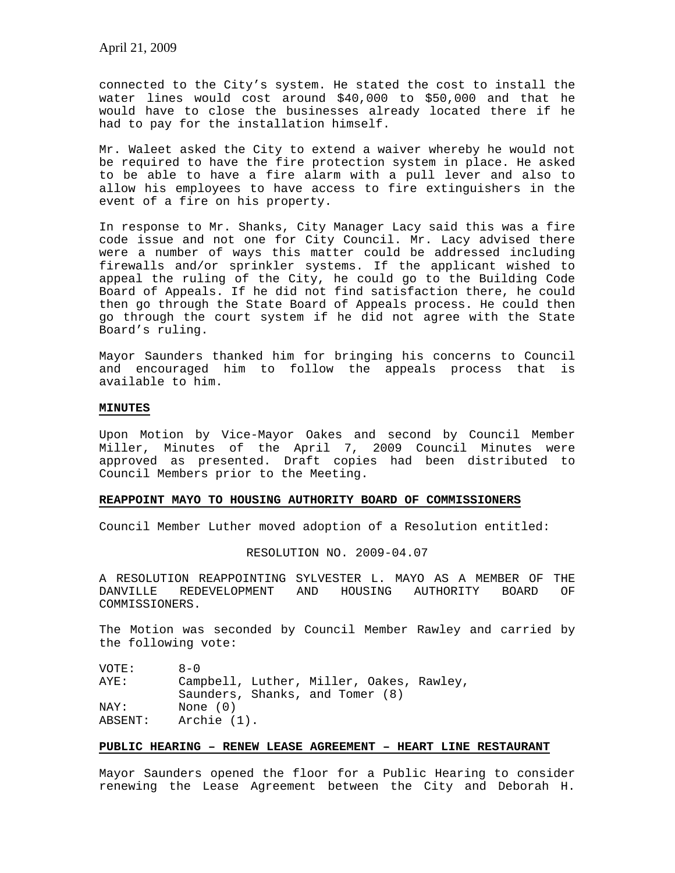April 21, 2009

connected to the City's system. He stated the cost to install the water lines would cost around \$40,000 to \$50,000 and that he would have to close the businesses already located there if he had to pay for the installation himself.

Mr. Waleet asked the City to extend a waiver whereby he would not be required to have the fire protection system in place. He asked to be able to have a fire alarm with a pull lever and also to allow his employees to have access to fire extinguishers in the event of a fire on his property.

In response to Mr. Shanks, City Manager Lacy said this was a fire code issue and not one for City Council. Mr. Lacy advised there were a number of ways this matter could be addressed including firewalls and/or sprinkler systems. If the applicant wished to appeal the ruling of the City, he could go to the Building Code Board of Appeals. If he did not find satisfaction there, he could then go through the State Board of Appeals process. He could then go through the court system if he did not agree with the State Board's ruling.

Mayor Saunders thanked him for bringing his concerns to Council and encouraged him to follow the appeals process that is available to him.

# **MINUTES**

Upon Motion by Vice-Mayor Oakes and second by Council Member Miller, Minutes of the April 7, 2009 Council Minutes were approved as presented. Draft copies had been distributed to Council Members prior to the Meeting.

# **REAPPOINT MAYO TO HOUSING AUTHORITY BOARD OF COMMISSIONERS**

Council Member Luther moved adoption of a Resolution entitled:

RESOLUTION NO. 2009-04.07

A RESOLUTION REAPPOINTING SYLVESTER L. MAYO AS A MEMBER OF THE DANVILLE REDEVELOPMENT AND HOUSING AUTHORITY BOARD OF COMMISSIONERS.

The Motion was seconded by Council Member Rawley and carried by the following vote:

VOTE: 8-0 AYE: Campbell, Luther, Miller, Oakes, Rawley, Saunders, Shanks, and Tomer (8) NAY: None (0)<br>ABSENT: Archie (1) Archie (1).

### **PUBLIC HEARING – RENEW LEASE AGREEMENT – HEART LINE RESTAURANT**

Mayor Saunders opened the floor for a Public Hearing to consider renewing the Lease Agreement between the City and Deborah H.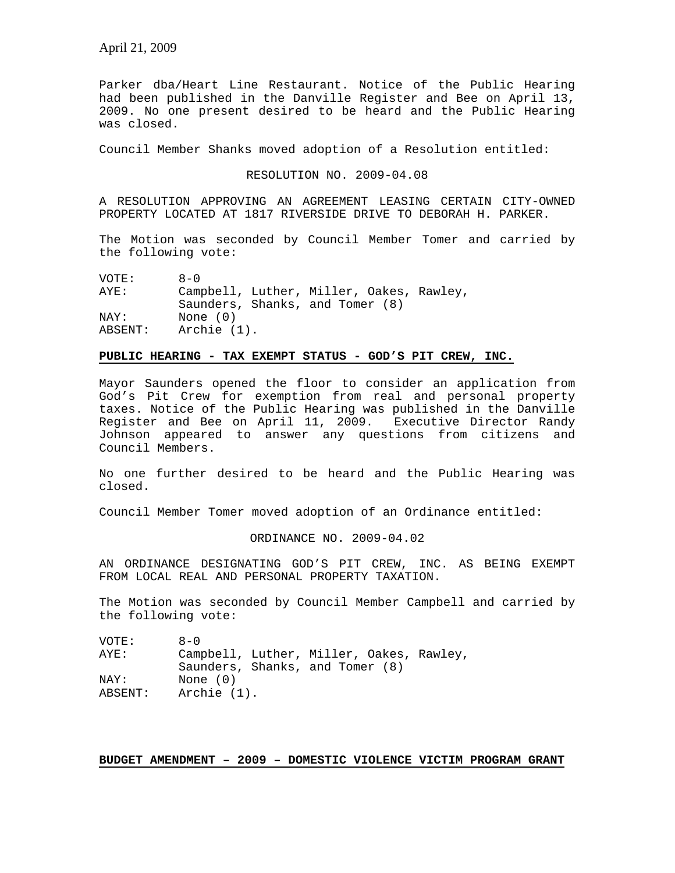Parker dba/Heart Line Restaurant. Notice of the Public Hearing had been published in the Danville Register and Bee on April 13, 2009. No one present desired to be heard and the Public Hearing was closed.

Council Member Shanks moved adoption of a Resolution entitled:

RESOLUTION NO. 2009-04.08

A RESOLUTION APPROVING AN AGREEMENT LEASING CERTAIN CITY-OWNED PROPERTY LOCATED AT 1817 RIVERSIDE DRIVE TO DEBORAH H. PARKER.

The Motion was seconded by Council Member Tomer and carried by the following vote:

| VOTE:   | $R - \Omega$                             |
|---------|------------------------------------------|
| AYE:    | Campbell, Luther, Miller, Oakes, Rawley, |
|         | Saunders, Shanks, and Tomer (8)          |
| NAY:    | None $(0)$                               |
| ABSENT: | Archie (1).                              |

# **PUBLIC HEARING - TAX EXEMPT STATUS - GOD'S PIT CREW, INC.**

Mayor Saunders opened the floor to consider an application from God's Pit Crew for exemption from real and personal property taxes. Notice of the Public Hearing was published in the Danville Register and Bee on April 11, 2009. Executive Director Randy Johnson appeared to answer any questions from citizens and Council Members.

No one further desired to be heard and the Public Hearing was closed.

Council Member Tomer moved adoption of an Ordinance entitled:

ORDINANCE NO. 2009-04.02

AN ORDINANCE DESIGNATING GOD'S PIT CREW, INC. AS BEING EXEMPT FROM LOCAL REAL AND PERSONAL PROPERTY TAXATION.

The Motion was seconded by Council Member Campbell and carried by the following vote:

| VOTE:   | $A - 0$                                  |
|---------|------------------------------------------|
| AYE:    | Campbell, Luther, Miller, Oakes, Rawley, |
|         | Saunders, Shanks, and Tomer (8)          |
| NAY:    | None $(0)$                               |
| ABSENT: | Archie (1).                              |

#### **BUDGET AMENDMENT – 2009 – DOMESTIC VIOLENCE VICTIM PROGRAM GRANT**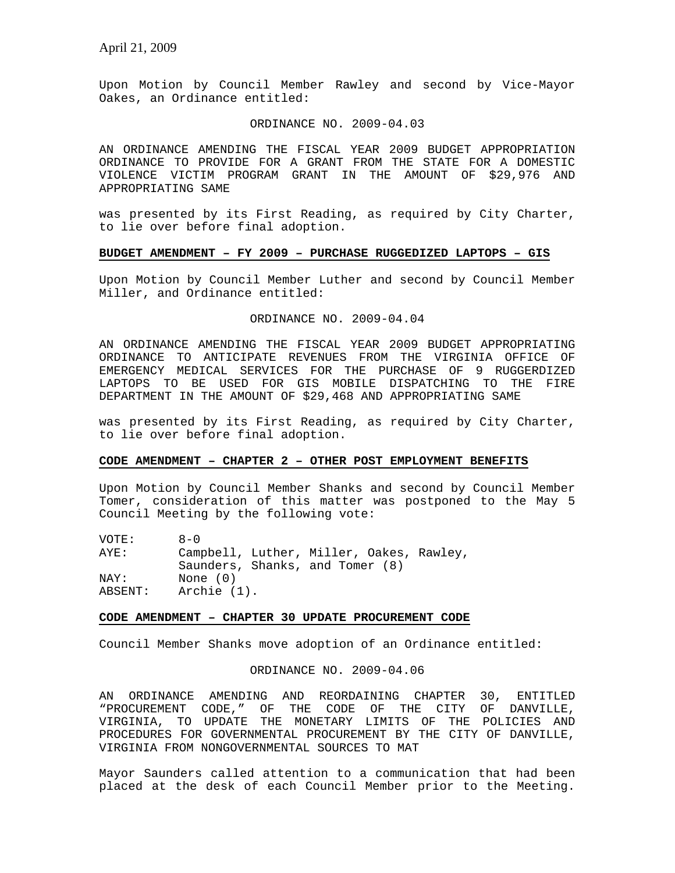Upon Motion by Council Member Rawley and second by Vice-Mayor Oakes, an Ordinance entitled:

#### ORDINANCE NO. 2009-04.03

AN ORDINANCE AMENDING THE FISCAL YEAR 2009 BUDGET APPROPRIATION ORDINANCE TO PROVIDE FOR A GRANT FROM THE STATE FOR A DOMESTIC VIOLENCE VICTIM PROGRAM GRANT IN THE AMOUNT OF \$29,976 AND APPROPRIATING SAME

was presented by its First Reading, as required by City Charter, to lie over before final adoption.

### **BUDGET AMENDMENT – FY 2009 – PURCHASE RUGGEDIZED LAPTOPS – GIS**

Upon Motion by Council Member Luther and second by Council Member Miller, and Ordinance entitled:

## ORDINANCE NO. 2009-04.04

AN ORDINANCE AMENDING THE FISCAL YEAR 2009 BUDGET APPROPRIATING ORDINANCE TO ANTICIPATE REVENUES FROM THE VIRGINIA OFFICE OF EMERGENCY MEDICAL SERVICES FOR THE PURCHASE OF 9 RUGGERDIZED LAPTOPS TO BE USED FOR GIS MOBILE DISPATCHING TO THE FIRE DEPARTMENT IN THE AMOUNT OF \$29,468 AND APPROPRIATING SAME

was presented by its First Reading, as required by City Charter, to lie over before final adoption.

# **CODE AMENDMENT – CHAPTER 2 – OTHER POST EMPLOYMENT BENEFITS**

Upon Motion by Council Member Shanks and second by Council Member Tomer, consideration of this matter was postponed to the May 5 Council Meeting by the following vote:

| VOTE:   | $A - 0$                                  |
|---------|------------------------------------------|
| AYE:    | Campbell, Luther, Miller, Oakes, Rawley, |
|         | Saunders, Shanks, and Tomer (8)          |
| NAY:    | None $(0)$                               |
| ABSENT: | Archie (1).                              |

## **CODE AMENDMENT – CHAPTER 30 UPDATE PROCUREMENT CODE**

Council Member Shanks move adoption of an Ordinance entitled:

## ORDINANCE NO. 2009-04.06

AN ORDINANCE AMENDING AND REORDAINING CHAPTER 30, ENTITLED "PROCUREMENT CODE," OF THE CODE OF THE CITY OF DANVILLE, VIRGINIA, TO UPDATE THE MONETARY LIMITS OF THE POLICIES AND PROCEDURES FOR GOVERNMENTAL PROCUREMENT BY THE CITY OF DANVILLE, VIRGINIA FROM NONGOVERNMENTAL SOURCES TO MAT

Mayor Saunders called attention to a communication that had been placed at the desk of each Council Member prior to the Meeting.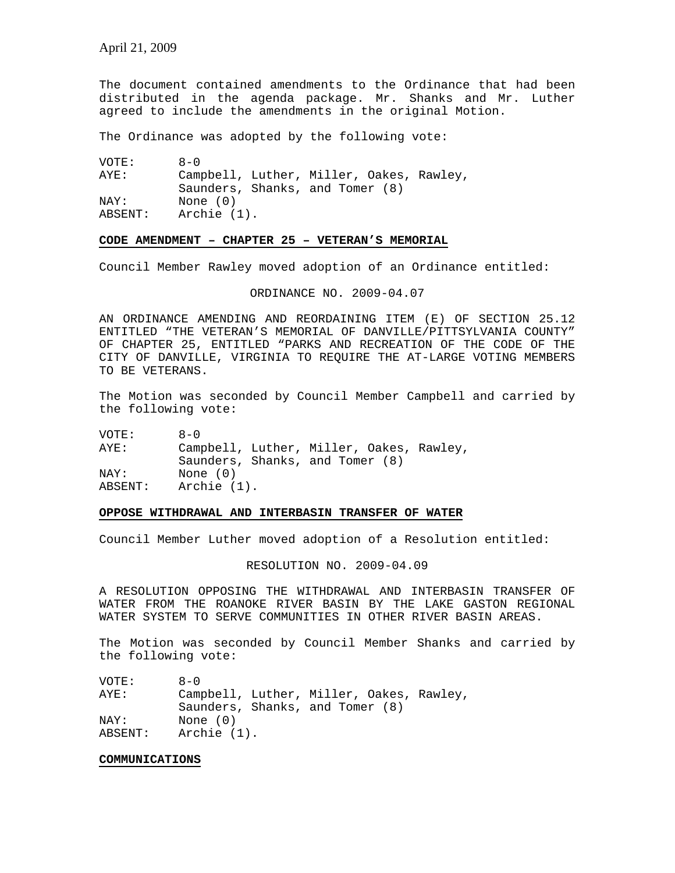The document contained amendments to the Ordinance that had been distributed in the agenda package. Mr. Shanks and Mr. Luther agreed to include the amendments in the original Motion.

The Ordinance was adopted by the following vote:

| VOTE:   | $R - 0$                                  |
|---------|------------------------------------------|
| AYE:    | Campbell, Luther, Miller, Oakes, Rawley, |
|         | Saunders, Shanks, and Tomer (8)          |
| NAY:    | None (0)                                 |
| ABSENT: | Archie (1).                              |

#### **CODE AMENDMENT – CHAPTER 25 – VETERAN'S MEMORIAL**

Council Member Rawley moved adoption of an Ordinance entitled:

ORDINANCE NO. 2009-04.07

AN ORDINANCE AMENDING AND REORDAINING ITEM (E) OF SECTION 25.12 ENTITLED "THE VETERAN'S MEMORIAL OF DANVILLE/PITTSYLVANIA COUNTY" OF CHAPTER 25, ENTITLED "PARKS AND RECREATION OF THE CODE OF THE CITY OF DANVILLE, VIRGINIA TO REQUIRE THE AT-LARGE VOTING MEMBERS TO BE VETERANS.

The Motion was seconded by Council Member Campbell and carried by the following vote:

| VOTE:   | $A - 0$                                  |
|---------|------------------------------------------|
| AYE:    | Campbell, Luther, Miller, Oakes, Rawley, |
|         | Saunders, Shanks, and Tomer (8)          |
| NAY:    | None $(0)$                               |
| ABSENT: | Archie (1).                              |

#### **OPPOSE WITHDRAWAL AND INTERBASIN TRANSFER OF WATER**

Council Member Luther moved adoption of a Resolution entitled:

### RESOLUTION NO. 2009-04.09

A RESOLUTION OPPOSING THE WITHDRAWAL AND INTERBASIN TRANSFER OF WATER FROM THE ROANOKE RIVER BASIN BY THE LAKE GASTON REGIONAL WATER SYSTEM TO SERVE COMMUNITIES IN OTHER RIVER BASIN AREAS.

The Motion was seconded by Council Member Shanks and carried by the following vote:

| VOTE:   | $A - 0$                                  |
|---------|------------------------------------------|
| AYE:    | Campbell, Luther, Miller, Oakes, Rawley, |
|         | Saunders, Shanks, and Tomer (8)          |
| NAY:    | None $(0)$                               |
| ABSENT: | Archie (1).                              |

#### **COMMUNICATIONS**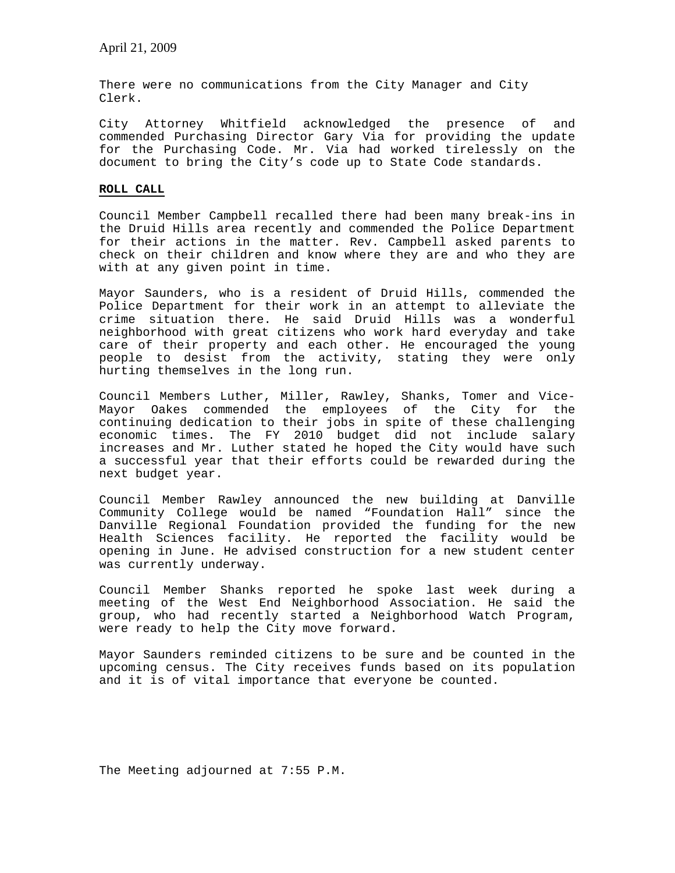There were no communications from the City Manager and City Clerk.

City Attorney Whitfield acknowledged the presence of and commended Purchasing Director Gary Via for providing the update for the Purchasing Code. Mr. Via had worked tirelessly on the document to bring the City's code up to State Code standards.

# **ROLL CALL**

Council Member Campbell recalled there had been many break-ins in the Druid Hills area recently and commended the Police Department for their actions in the matter. Rev. Campbell asked parents to check on their children and know where they are and who they are with at any given point in time.

Mayor Saunders, who is a resident of Druid Hills, commended the Police Department for their work in an attempt to alleviate the crime situation there. He said Druid Hills was a wonderful neighborhood with great citizens who work hard everyday and take care of their property and each other. He encouraged the young people to desist from the activity, stating they were only hurting themselves in the long run.

Council Members Luther, Miller, Rawley, Shanks, Tomer and Vice-Mayor Oakes commended the employees of the City for the continuing dedication to their jobs in spite of these challenging economic times. The FY 2010 budget did not include salary increases and Mr. Luther stated he hoped the City would have such a successful year that their efforts could be rewarded during the next budget year.

Council Member Rawley announced the new building at Danville Community College would be named "Foundation Hall" since the Danville Regional Foundation provided the funding for the new Health Sciences facility. He reported the facility would be opening in June. He advised construction for a new student center was currently underway.

Council Member Shanks reported he spoke last week during a meeting of the West End Neighborhood Association. He said the group, who had recently started a Neighborhood Watch Program, were ready to help the City move forward.

Mayor Saunders reminded citizens to be sure and be counted in the upcoming census. The City receives funds based on its population and it is of vital importance that everyone be counted.

The Meeting adjourned at 7:55 P.M.